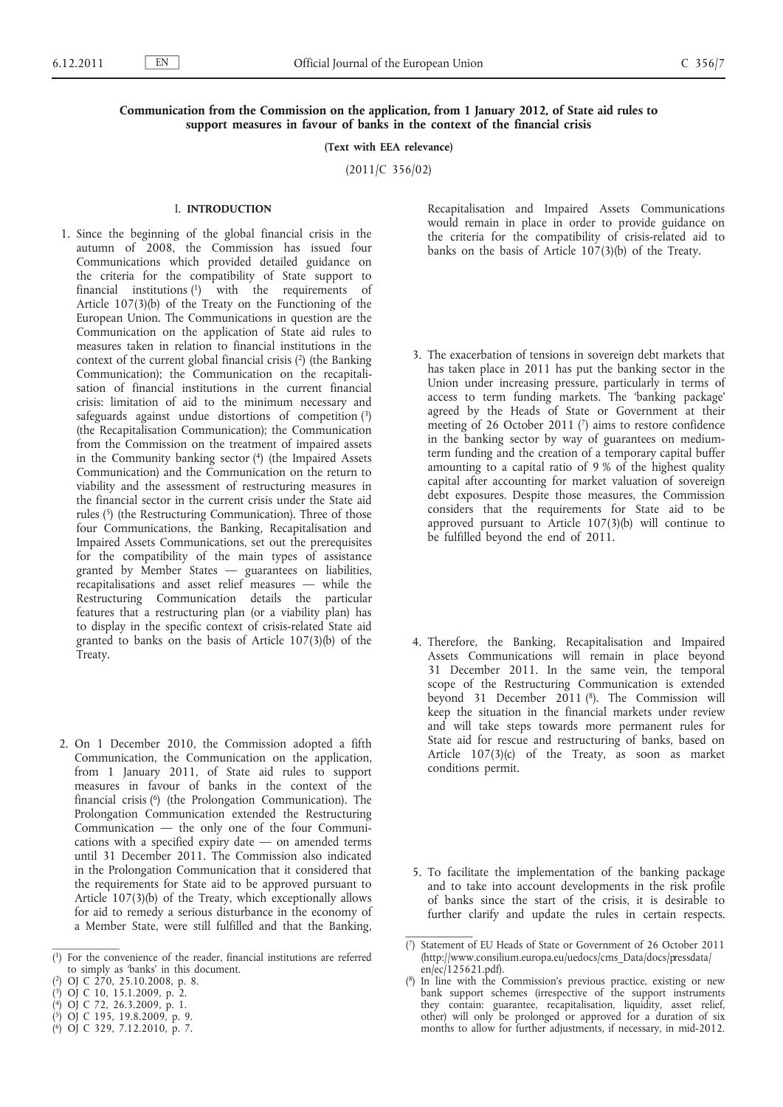## **Communication from the Commission on the application, from 1 January 2012, of State aid rules to support measures in favour of banks in the context of the financial crisis**

**(Text with EEA relevance)**

(2011/C 356/02)

### I. **INTRODUCTION**

- 1. Since the beginning of the global financial crisis in the autumn of 2008, the Commission has issued four Communications which provided detailed guidance on the criteria for the compatibility of State support to financial institutions (1) with the requirements of Article 107(3)(b) of the Treaty on the Functioning of the European Union. The Communications in question are the Communication on the application of State aid rules to measures taken in relation to financial institutions in the context of the current global financial crisis (2) (the Banking Communication); the Communication on the recapitalisation of financial institutions in the current financial crisis: limitation of aid to the minimum necessary and safeguards against undue distortions of competition  $(3)$ (the Recapitalisation Communication); the Communication from the Commission on the treatment of impaired assets in the Community banking sector  $(4)$  (the Impaired Assets Communication) and the Communication on the return to viability and the assessment of restructuring measures in the financial sector in the current crisis under the State aid rules (5) (the Restructuring Communication). Three of those four Communications, the Banking, Recapitalisation and Impaired Assets Communications, set out the prerequisites for the compatibility of the main types of assistance granted by Member States — guarantees on liabilities, recapitalisations and asset relief measures — while the Restructuring Communication details the particular features that a restructuring plan (or a viability plan) has to display in the specific context of crisis-related State aid granted to banks on the basis of Article 107(3)(b) of the Treaty.
- 2. On 1 December 2010, the Commission adopted a fifth Communication, the Communication on the application, from 1 January 2011, of State aid rules to support measures in favour of banks in the context of the financial crisis (6) (the Prolongation Communication). The Prolongation Communication extended the Restructuring Communication — the only one of the four Communications with a specified expiry date — on amended terms until 31 December 2011. The Commission also indicated in the Prolongation Communication that it considered that the requirements for State aid to be approved pursuant to Article 107(3)(b) of the Treaty, which exceptionally allows for aid to remedy a serious disturbance in the economy of a Member State, were still fulfilled and that the Banking,

- ( 4) OJ C 72, 26.3.2009, p. 1. ( 5) OJ C 195, 19.8.2009, p. 9.
- ( 6) OJ C 329, 7.12.2010, p. 7.
- Recapitalisation and Impaired Assets Communications would remain in place in order to provide guidance on the criteria for the compatibility of crisis-related aid to banks on the basis of Article  $107(3)(b)$  of the Treaty.
- 3. The exacerbation of tensions in sovereign debt markets that has taken place in 2011 has put the banking sector in the Union under increasing pressure, particularly in terms of access to term funding markets. The 'banking package' agreed by the Heads of State or Government at their meeting of 26 October 2011 (7) aims to restore confidence in the banking sector by way of guarantees on mediumterm funding and the creation of a temporary capital buffer amounting to a capital ratio of 9 % of the highest quality capital after accounting for market valuation of sovereign debt exposures. Despite those measures, the Commission considers that the requirements for State aid to be approved pursuant to Article 107(3)(b) will continue to be fulfilled beyond the end of 2011.
- 4. Therefore, the Banking, Recapitalisation and Impaired Assets Communications will remain in place beyond 31 December 2011. In the same vein, the temporal scope of the Restructuring Communication is extended beyond 31 December 2011 (8). The Commission will keep the situation in the financial markets under review and will take steps towards more permanent rules for State aid for rescue and restructuring of banks, based on Article 107(3)(c) of the Treaty, as soon as market conditions permit.
- 5. To facilitate the implementation of the banking package and to take into account developments in the risk profile of banks since the start of the crisis, it is desirable to further clarify and update the rules in certain respects.

<sup>(</sup> 1) For the convenience of the reader, financial institutions are referred to simply as 'banks' in this document.

<sup>(</sup> 2) OJ C 270, 25.10.2008, p. 8.

<sup>(</sup> 3) OJ C 10, 15.1.2009, p. 2.

<sup>(</sup> 7) Statement of EU Heads of State or Government of 26 October 2011 [\(http://www.consilium.europa.eu/uedocs/cms\\_Data/docs/pressdata/](http://www.consilium.europa.eu/uedocs/cms_Data/docs/pressdata/en/ec/125621.pdf) [en/ec/125621.pdf\)](http://www.consilium.europa.eu/uedocs/cms_Data/docs/pressdata/en/ec/125621.pdf).

<sup>(</sup> 8) In line with the Commission's previous practice, existing or new bank support schemes (irrespective of the support instruments they contain: guarantee, recapitalisation, liquidity, asset relief, other) will only be prolonged or approved for a duration of six months to allow for further adjustments, if necessary, in mid-2012.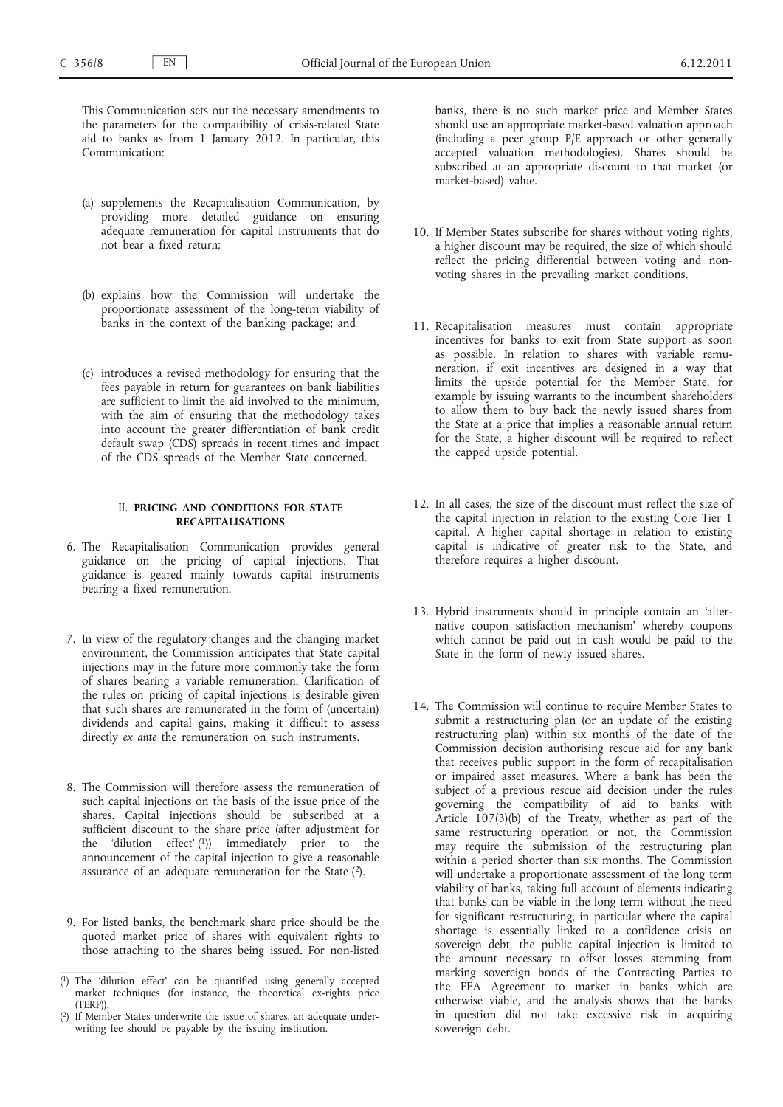This Communication sets out the necessary amendments to the parameters for the compatibility of crisis-related State aid to banks as from 1 January 2012. In particular, this Communication:

- (a) supplements the Recapitalisation Communication, by providing more detailed guidance on ensuring adequate remuneration for capital instruments that do not bear a fixed return;
- (b) explains how the Commission will undertake the proportionate assessment of the long-term viability of banks in the context of the banking package; and
- (c) introduces a revised methodology for ensuring that the fees payable in return for guarantees on bank liabilities are sufficient to limit the aid involved to the minimum, with the aim of ensuring that the methodology takes into account the greater differentiation of bank credit default swap (CDS) spreads in recent times and impact of the CDS spreads of the Member State concerned.

## II. **PRICING AND CONDITIONS FOR STATE RECAPITALISATIONS**

- 6. The Recapitalisation Communication provides general guidance on the pricing of capital injections. That guidance is geared mainly towards capital instruments bearing a fixed remuneration.
- 7. In view of the regulatory changes and the changing market environment, the Commission anticipates that State capital injections may in the future more commonly take the form of shares bearing a variable remuneration. Clarification of the rules on pricing of capital injections is desirable given that such shares are remunerated in the form of (uncertain) dividends and capital gains, making it difficult to assess directly *ex ante* the remuneration on such instruments.
- 8. The Commission will therefore assess the remuneration of such capital injections on the basis of the issue price of the shares. Capital injections should be subscribed at a sufficient discount to the share price (after adjustment for the 'dilution effect' (1)) immediately prior to the announcement of the capital injection to give a reasonable assurance of an adequate remuneration for the State (2).
- 9. For listed banks, the benchmark share price should be the quoted market price of shares with equivalent rights to those attaching to the shares being issued. For non-listed

banks, there is no such market price and Member States should use an appropriate market-based valuation approach (including a peer group P/E approach or other generally accepted valuation methodologies). Shares should be subscribed at an appropriate discount to that market (or market-based) value.

- 10. If Member States subscribe for shares without voting rights, a higher discount may be required, the size of which should reflect the pricing differential between voting and nonvoting shares in the prevailing market conditions.
- 11. Recapitalisation measures must contain appropriate incentives for banks to exit from State support as soon as possible. In relation to shares with variable remuneration, if exit incentives are designed in a way that limits the upside potential for the Member State, for example by issuing warrants to the incumbent shareholders to allow them to buy back the newly issued shares from the State at a price that implies a reasonable annual return for the State, a higher discount will be required to reflect the capped upside potential.
- 12. In all cases, the size of the discount must reflect the size of the capital injection in relation to the existing Core Tier 1 capital. A higher capital shortage in relation to existing capital is indicative of greater risk to the State, and therefore requires a higher discount.
- 13. Hybrid instruments should in principle contain an 'alternative coupon satisfaction mechanism' whereby coupons which cannot be paid out in cash would be paid to the State in the form of newly issued shares.
- 14. The Commission will continue to require Member States to submit a restructuring plan (or an update of the existing restructuring plan) within six months of the date of the Commission decision authorising rescue aid for any bank that receives public support in the form of recapitalisation or impaired asset measures. Where a bank has been the subject of a previous rescue aid decision under the rules governing the compatibility of aid to banks with Article 107(3)(b) of the Treaty, whether as part of the same restructuring operation or not, the Commission may require the submission of the restructuring plan within a period shorter than six months. The Commission will undertake a proportionate assessment of the long term viability of banks, taking full account of elements indicating that banks can be viable in the long term without the need for significant restructuring, in particular where the capital shortage is essentially linked to a confidence crisis on sovereign debt, the public capital injection is limited to the amount necessary to offset losses stemming from marking sovereign bonds of the Contracting Parties to the EEA Agreement to market in banks which are otherwise viable, and the analysis shows that the banks in question did not take excessive risk in acquiring sovereign debt.

<sup>(</sup> 1) The 'dilution effect' can be quantified using generally accepted market techniques (for instance, the theoretical ex-rights price (TERP)).

<sup>(</sup> 2) If Member States underwrite the issue of shares, an adequate underwriting fee should be payable by the issuing institution.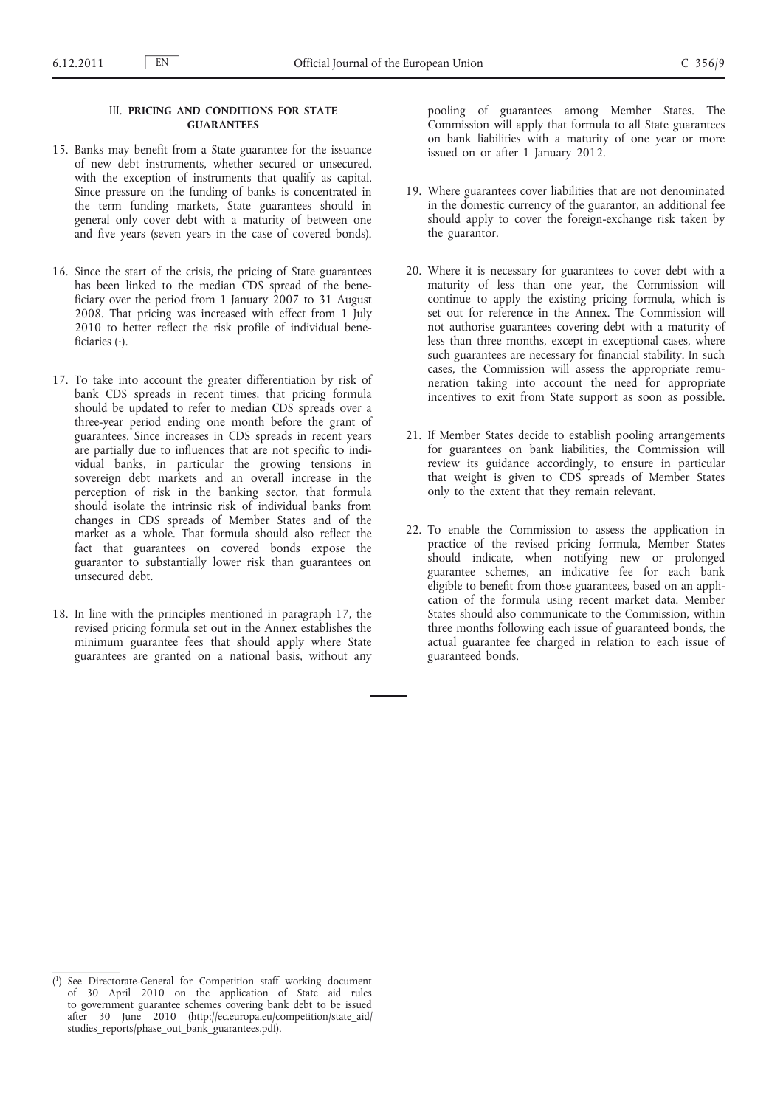# III. **PRICING AND CONDITIONS FOR STATE GUARANTEES**

- 15. Banks may benefit from a State guarantee for the issuance of new debt instruments, whether secured or unsecured, with the exception of instruments that qualify as capital. Since pressure on the funding of banks is concentrated in the term funding markets, State guarantees should in general only cover debt with a maturity of between one and five years (seven years in the case of covered bonds).
- 16. Since the start of the crisis, the pricing of State guarantees has been linked to the median CDS spread of the beneficiary over the period from 1 January 2007 to 31 August 2008. That pricing was increased with effect from 1 July 2010 to better reflect the risk profile of individual beneficiaries (1).
- 17. To take into account the greater differentiation by risk of bank CDS spreads in recent times, that pricing formula should be updated to refer to median CDS spreads over a three-year period ending one month before the grant of guarantees. Since increases in CDS spreads in recent years are partially due to influences that are not specific to individual banks, in particular the growing tensions in sovereign debt markets and an overall increase in the perception of risk in the banking sector, that formula should isolate the intrinsic risk of individual banks from changes in CDS spreads of Member States and of the market as a whole. That formula should also reflect the fact that guarantees on covered bonds expose the guarantor to substantially lower risk than guarantees on unsecured debt.
- 18. In line with the principles mentioned in paragraph 17, the revised pricing formula set out in the Annex establishes the minimum guarantee fees that should apply where State guarantees are granted on a national basis, without any

pooling of guarantees among Member States. The Commission will apply that formula to all State guarantees on bank liabilities with a maturity of one year or more issued on or after 1 January 2012.

- 19. Where guarantees cover liabilities that are not denominated in the domestic currency of the guarantor, an additional fee should apply to cover the foreign-exchange risk taken by the guarantor.
- 20. Where it is necessary for guarantees to cover debt with a maturity of less than one year, the Commission will continue to apply the existing pricing formula, which is set out for reference in the Annex. The Commission will not authorise guarantees covering debt with a maturity of less than three months, except in exceptional cases, where such guarantees are necessary for financial stability. In such cases, the Commission will assess the appropriate remuneration taking into account the need for appropriate incentives to exit from State support as soon as possible.
- 21. If Member States decide to establish pooling arrangements for guarantees on bank liabilities, the Commission will review its guidance accordingly, to ensure in particular that weight is given to CDS spreads of Member States only to the extent that they remain relevant.
- 22. To enable the Commission to assess the application in practice of the revised pricing formula, Member States should indicate, when notifying new or prolonged guarantee schemes, an indicative fee for each bank eligible to benefit from those guarantees, based on an application of the formula using recent market data. Member States should also communicate to the Commission, within three months following each issue of guaranteed bonds, the actual guarantee fee charged in relation to each issue of guaranteed bonds.

<sup>(</sup> 1) See Directorate-General for Competition staff working document of 30 April 2010 on the application of State aid rules to government guarantee schemes covering bank debt to be issued after 30 June 2010 [\(http://ec.europa.eu/competition/state\\_aid/](http://ec.europa.eu/competition/state_aid/studies_reports/phase_out_bank_guarantees.pdf) [studies\\_reports/phase\\_out\\_bank\\_guarantees.pdf](http://ec.europa.eu/competition/state_aid/studies_reports/phase_out_bank_guarantees.pdf)).